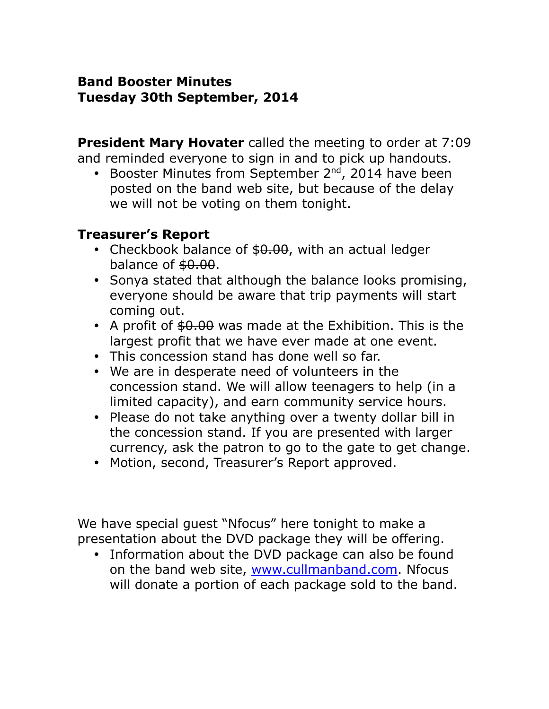### **Band Booster Minutes Tuesday 30th September, 2014**

**President Mary Hovater** called the meeting to order at 7:09 and reminded everyone to sign in and to pick up handouts.

• Booster Minutes from September 2<sup>nd</sup>, 2014 have been posted on the band web site, but because of the delay we will not be voting on them tonight.

#### **Treasurer's Report**

- Checkbook balance of \$0.00, with an actual ledger balance of  $$0.00$ .
- Sonya stated that although the balance looks promising, everyone should be aware that trip payments will start coming out.
- A profit of  $$0.00$  was made at the Exhibition. This is the largest profit that we have ever made at one event.
- This concession stand has done well so far.
- We are in desperate need of volunteers in the concession stand. We will allow teenagers to help (in a limited capacity), and earn community service hours.
- Please do not take anything over a twenty dollar bill in the concession stand. If you are presented with larger currency, ask the patron to go to the gate to get change.
- Motion, second, Treasurer's Report approved.

We have special guest "Nfocus" here tonight to make a presentation about the DVD package they will be offering.

 Information about the DVD package can also be found on the band web site, [www.cullmanband.com.](http://www.cullmanband.com/) Nfocus will donate a portion of each package sold to the band.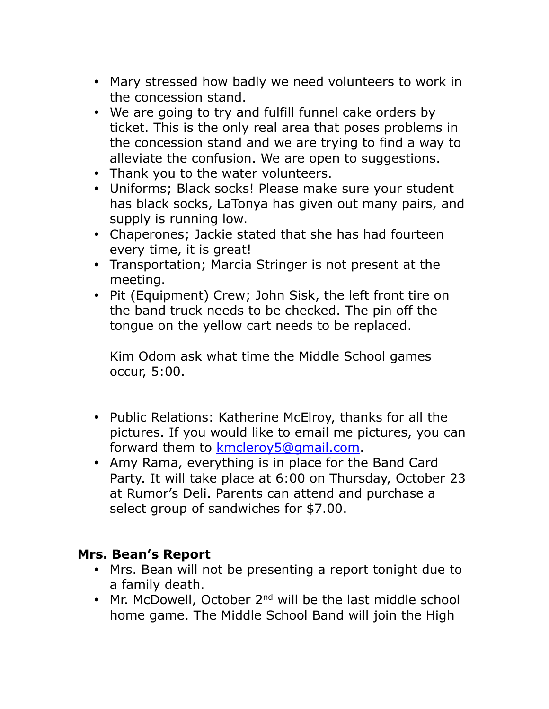- Mary stressed how badly we need volunteers to work in the concession stand.
- We are going to try and fulfill funnel cake orders by ticket. This is the only real area that poses problems in the concession stand and we are trying to find a way to alleviate the confusion. We are open to suggestions.
- Thank you to the water volunteers.
- Uniforms; Black socks! Please make sure your student has black socks, LaTonya has given out many pairs, and supply is running low.
- Chaperones; Jackie stated that she has had fourteen every time, it is great!
- Transportation; Marcia Stringer is not present at the meeting.
- Pit (Equipment) Crew; John Sisk, the left front tire on the band truck needs to be checked. The pin off the tongue on the yellow cart needs to be replaced.

Kim Odom ask what time the Middle School games occur, 5:00.

- Public Relations: Katherine McElroy, thanks for all the pictures. If you would like to email me pictures, you can forward them to [kmcleroy5@gmail.com.](mailto:kmcleroy5@gmail.com)
- Amy Rama, everything is in place for the Band Card Party. It will take place at 6:00 on Thursday, October 23 at Rumor's Deli. Parents can attend and purchase a select group of sandwiches for \$7.00.

#### **Mrs. Bean's Report**

- Mrs. Bean will not be presenting a report tonight due to a family death.
- Mr. McDowell, October  $2^{nd}$  will be the last middle school home game. The Middle School Band will join the High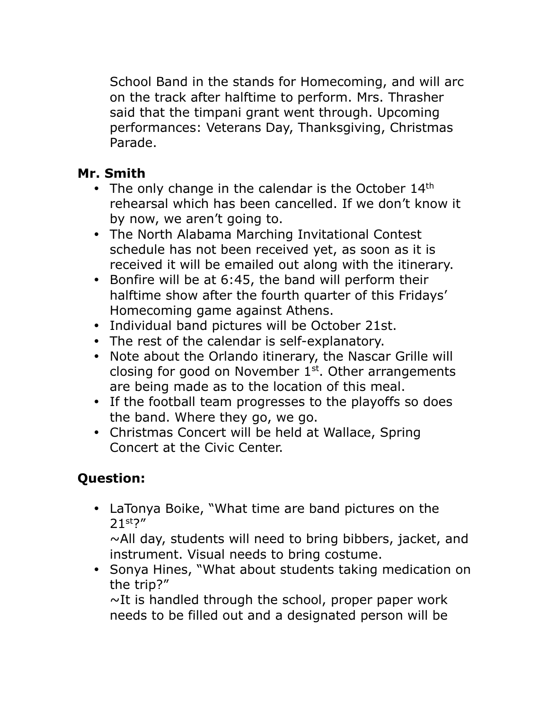School Band in the stands for Homecoming, and will arc on the track after halftime to perform. Mrs. Thrasher said that the timpani grant went through. Upcoming performances: Veterans Day, Thanksgiving, Christmas Parade.

## **Mr. Smith**

- The only change in the calendar is the October 14<sup>th</sup> rehearsal which has been cancelled. If we don't know it by now, we aren't going to.
- The North Alabama Marching Invitational Contest schedule has not been received yet, as soon as it is received it will be emailed out along with the itinerary.
- Bonfire will be at 6:45, the band will perform their halftime show after the fourth quarter of this Fridays' Homecoming game against Athens.
- Individual band pictures will be October 21st.
- The rest of the calendar is self-explanatory.
- Note about the Orlando itinerary, the Nascar Grille will closing for good on November  $1<sup>st</sup>$ . Other arrangements are being made as to the location of this meal.
- If the football team progresses to the playoffs so does the band. Where they go, we go.
- Christmas Concert will be held at Wallace, Spring Concert at the Civic Center.

# **Question:**

 LaTonya Boike, "What time are band pictures on the 21st?"

 $\sim$ All day, students will need to bring bibbers, jacket, and instrument. Visual needs to bring costume.

• Sonya Hines, "What about students taking medication on the trip?"

 $\sim$ It is handled through the school, proper paper work needs to be filled out and a designated person will be